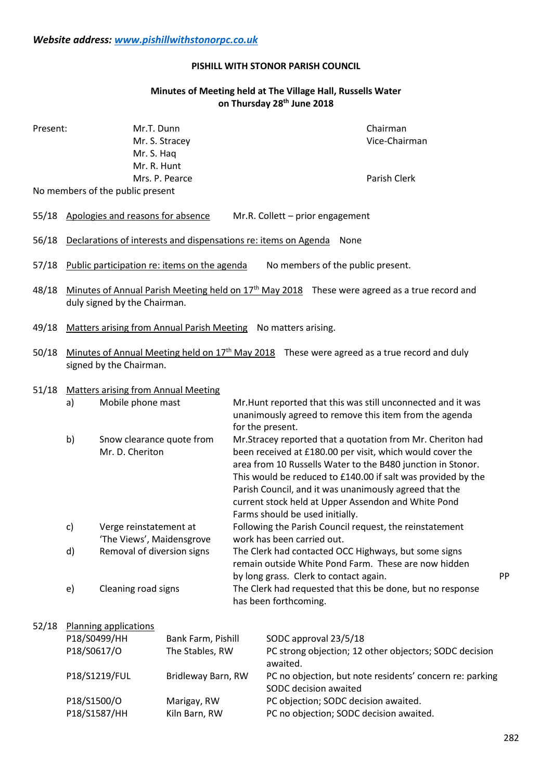## **PISHILL WITH STONOR PARISH COUNCIL**

# **Minutes of Meeting held at The Village Hall, Russells Water on Thursday 28th June 2018**

| Present:<br>No members of the public present |                                                                                                                                           | Mr.T. Dunn<br>Mr. S. Haq<br>Mr. R. Hunt                                                                                                                                                              | Mr. S. Stracey<br>Mrs. P. Pearce |                                                                                                                                                                                                                                                                                                                                                                                                                                                                                                                                                                                                                                                                                                                                                                                                             | Chairman<br>Vice-Chairman<br>Parish Clerk |    |
|----------------------------------------------|-------------------------------------------------------------------------------------------------------------------------------------------|------------------------------------------------------------------------------------------------------------------------------------------------------------------------------------------------------|----------------------------------|-------------------------------------------------------------------------------------------------------------------------------------------------------------------------------------------------------------------------------------------------------------------------------------------------------------------------------------------------------------------------------------------------------------------------------------------------------------------------------------------------------------------------------------------------------------------------------------------------------------------------------------------------------------------------------------------------------------------------------------------------------------------------------------------------------------|-------------------------------------------|----|
| 55/18                                        | Apologies and reasons for absence<br>Mr.R. Collett - prior engagement                                                                     |                                                                                                                                                                                                      |                                  |                                                                                                                                                                                                                                                                                                                                                                                                                                                                                                                                                                                                                                                                                                                                                                                                             |                                           |    |
| 56/18                                        | Declarations of interests and dispensations re: items on Agenda<br>None                                                                   |                                                                                                                                                                                                      |                                  |                                                                                                                                                                                                                                                                                                                                                                                                                                                                                                                                                                                                                                                                                                                                                                                                             |                                           |    |
|                                              |                                                                                                                                           |                                                                                                                                                                                                      |                                  |                                                                                                                                                                                                                                                                                                                                                                                                                                                                                                                                                                                                                                                                                                                                                                                                             |                                           |    |
| 57/18                                        | Public participation re: items on the agenda<br>No members of the public present.                                                         |                                                                                                                                                                                                      |                                  |                                                                                                                                                                                                                                                                                                                                                                                                                                                                                                                                                                                                                                                                                                                                                                                                             |                                           |    |
| 48/18                                        | Minutes of Annual Parish Meeting held on 17 <sup>th</sup> May 2018 These were agreed as a true record and<br>duly signed by the Chairman. |                                                                                                                                                                                                      |                                  |                                                                                                                                                                                                                                                                                                                                                                                                                                                                                                                                                                                                                                                                                                                                                                                                             |                                           |    |
| 49/18                                        | Matters arising from Annual Parish Meeting No matters arising.                                                                            |                                                                                                                                                                                                      |                                  |                                                                                                                                                                                                                                                                                                                                                                                                                                                                                                                                                                                                                                                                                                                                                                                                             |                                           |    |
| 50/18                                        | Minutes of Annual Meeting held on $17th$ May 2018 These were agreed as a true record and duly<br>signed by the Chairman.                  |                                                                                                                                                                                                      |                                  |                                                                                                                                                                                                                                                                                                                                                                                                                                                                                                                                                                                                                                                                                                                                                                                                             |                                           |    |
| 51/18                                        | a)<br>b)<br>c)<br>d)                                                                                                                      | <b>Matters arising from Annual Meeting</b><br>Mobile phone mast<br>Snow clearance quote from<br>Mr. D. Cheriton<br>Verge reinstatement at<br>'The Views', Maidensgrove<br>Removal of diversion signs |                                  | Mr. Hunt reported that this was still unconnected and it was<br>unanimously agreed to remove this item from the agenda<br>for the present.<br>Mr.Stracey reported that a quotation from Mr. Cheriton had<br>been received at £180.00 per visit, which would cover the<br>area from 10 Russells Water to the B480 junction in Stonor.<br>This would be reduced to £140.00 if salt was provided by the<br>Parish Council, and it was unanimously agreed that the<br>current stock held at Upper Assendon and White Pond<br>Farms should be used initially.<br>Following the Parish Council request, the reinstatement<br>work has been carried out.<br>The Clerk had contacted OCC Highways, but some signs<br>remain outside White Pond Farm. These are now hidden<br>by long grass. Clerk to contact again. |                                           | PP |
|                                              | e)                                                                                                                                        | Cleaning road signs                                                                                                                                                                                  |                                  | The Clerk had requested that this be done, but no response<br>has been forthcoming.                                                                                                                                                                                                                                                                                                                                                                                                                                                                                                                                                                                                                                                                                                                         |                                           |    |
| 52/18                                        | P18/S0499/HH                                                                                                                              | <b>Planning applications</b>                                                                                                                                                                         | Bank Farm, Pishill               | SODC approval 23/5/18                                                                                                                                                                                                                                                                                                                                                                                                                                                                                                                                                                                                                                                                                                                                                                                       |                                           |    |

| . <b>**************</b>     |                              | $3000$ $30000$ $30000$                                                            |
|-----------------------------|------------------------------|-----------------------------------------------------------------------------------|
| P18/S0617/O                 | The Stables, RW              | PC strong objection; 12 other objectors; SODC decision<br>awaited.                |
| P18/S1219/FUL               | Bridleway Barn, RW           | PC no objection, but note residents' concern re: parking<br>SODC decision awaited |
| P18/S1500/O<br>P18/S1587/HH | Marigay, RW<br>Kiln Barn, RW | PC objection; SODC decision awaited.<br>PC no objection; SODC decision awaited.   |
|                             |                              |                                                                                   |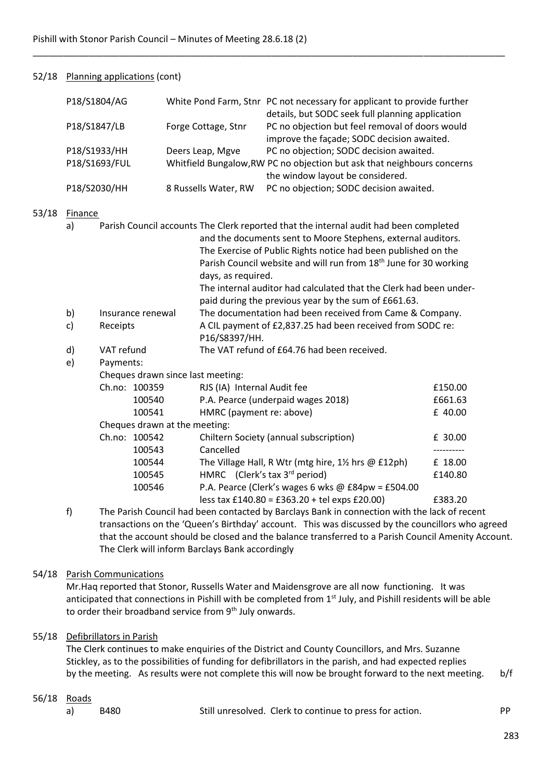## 52/18 Planning applications (cont)

 $53/18$ 

|                                                                                             | P18/S1804/AG  |                   |                               |                                                                               | White Pond Farm, Stnr PC not necessary for applicant to provide further<br>details, but SODC seek full planning application |            |  |  |  |
|---------------------------------------------------------------------------------------------|---------------|-------------------|-------------------------------|-------------------------------------------------------------------------------|-----------------------------------------------------------------------------------------------------------------------------|------------|--|--|--|
| P18/S1847/LB                                                                                |               |                   |                               | Forge Cottage, Stnr                                                           | PC no objection but feel removal of doors would<br>improve the façade; SODC decision awaited.                               |            |  |  |  |
| P18/S1933/HH                                                                                |               | Deers Leap, Mgve  |                               | PC no objection; SODC decision awaited.                                       |                                                                                                                             |            |  |  |  |
|                                                                                             | P18/S1693/FUL |                   |                               |                                                                               | Whitfield Bungalow, RW PC no objection but ask that neighbours concerns<br>the window layout be considered.                 |            |  |  |  |
|                                                                                             | P18/S2030/HH  |                   |                               | 8 Russells Water, RW                                                          | PC no objection; SODC decision awaited.                                                                                     |            |  |  |  |
| Finance                                                                                     |               |                   |                               |                                                                               |                                                                                                                             |            |  |  |  |
| Parish Council accounts The Clerk reported that the internal audit had been completed<br>a) |               |                   |                               |                                                                               |                                                                                                                             |            |  |  |  |
|                                                                                             |               |                   |                               |                                                                               | and the documents sent to Moore Stephens, external auditors.                                                                |            |  |  |  |
|                                                                                             |               |                   |                               |                                                                               | The Exercise of Public Rights notice had been published on the                                                              |            |  |  |  |
|                                                                                             |               |                   |                               | Parish Council website and will run from 18 <sup>th</sup> June for 30 working |                                                                                                                             |            |  |  |  |
|                                                                                             |               |                   |                               | days, as required.                                                            |                                                                                                                             |            |  |  |  |
|                                                                                             |               |                   |                               |                                                                               | The internal auditor had calculated that the Clerk had been under-                                                          |            |  |  |  |
|                                                                                             |               |                   |                               |                                                                               | paid during the previous year by the sum of £661.63.                                                                        |            |  |  |  |
| b)                                                                                          |               | Insurance renewal |                               |                                                                               | The documentation had been received from Came & Company.                                                                    |            |  |  |  |
| c)                                                                                          | Receipts      |                   |                               | P16/S8397/HH.                                                                 | A CIL payment of £2,837.25 had been received from SODC re:                                                                  |            |  |  |  |
| d)                                                                                          | VAT refund    |                   |                               |                                                                               | The VAT refund of £64.76 had been received.                                                                                 |            |  |  |  |
| e)                                                                                          | Payments:     |                   |                               |                                                                               |                                                                                                                             |            |  |  |  |
|                                                                                             |               |                   |                               | Cheques drawn since last meeting:                                             |                                                                                                                             |            |  |  |  |
|                                                                                             |               | Ch.no: 100359     |                               | RJS (IA) Internal Audit fee                                                   |                                                                                                                             | £150.00    |  |  |  |
|                                                                                             |               | 100540            |                               |                                                                               | P.A. Pearce (underpaid wages 2018)                                                                                          | £661.63    |  |  |  |
|                                                                                             |               | 100541            |                               | HMRC (payment re: above)                                                      |                                                                                                                             | £ 40.00    |  |  |  |
|                                                                                             |               |                   | Cheques drawn at the meeting: |                                                                               |                                                                                                                             |            |  |  |  |
|                                                                                             | Ch.no: 100542 |                   |                               |                                                                               | Chiltern Society (annual subscription)                                                                                      | £ 30.00    |  |  |  |
|                                                                                             |               | 100543            |                               | Cancelled                                                                     |                                                                                                                             | ---------- |  |  |  |
|                                                                                             |               | 100544            |                               |                                                                               | The Village Hall, R Wtr (mtg hire, 11/2 hrs @ £12ph)                                                                        | £ 18.00    |  |  |  |
|                                                                                             |               | 100545            |                               | HMRC (Clerk's tax 3rd period)                                                 |                                                                                                                             | £140.80    |  |  |  |
|                                                                                             |               | 100546            |                               |                                                                               | P.A. Pearce (Clerk's wages 6 wks @ $E84pw = E504.00$                                                                        |            |  |  |  |
|                                                                                             |               |                   |                               |                                                                               | less tax £140.80 = £363.20 + tel exps £20.00)                                                                               | £383.20    |  |  |  |

\_\_\_\_\_\_\_\_\_\_\_\_\_\_\_\_\_\_\_\_\_\_\_\_\_\_\_\_\_\_\_\_\_\_\_\_\_\_\_\_\_\_\_\_\_\_\_\_\_\_\_\_\_\_\_\_\_\_\_\_\_\_\_\_\_\_\_\_\_\_\_\_\_\_\_\_\_\_\_\_\_\_\_\_\_\_\_\_\_\_\_\_\_

f) The Parish Council had been contacted by Barclays Bank in connection with the lack of recent transactions on the 'Queen's Birthday' account. This was discussed by the councillors who agreed that the account should be closed and the balance transferred to a Parish Council Amenity Account. The Clerk will inform Barclays Bank accordingly

### 54/18 Parish Communications

Mr.Haq reported that Stonor, Russells Water and Maidensgrove are all now functioning. It was anticipated that connections in Pishill with be completed from 1<sup>st</sup> July, and Pishill residents will be able to order their broadband service from 9<sup>th</sup> July onwards.

## 55/18 Defibrillators in Parish

The Clerk continues to make enquiries of the District and County Councillors, and Mrs. Suzanne Stickley, as to the possibilities of funding for defibrillators in the parish, and had expected replies by the meeting. As results were not complete this will now be brought forward to the next meeting. b/f

### 56/18 Roads

a) B480 Still unresolved. Clerk to continue to press for action.